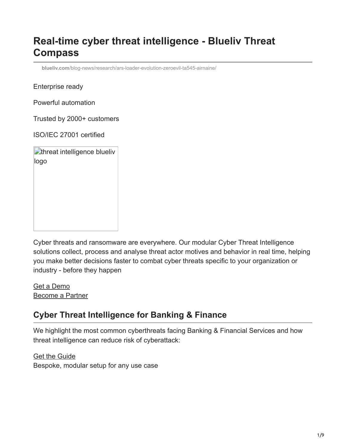# **Real-time cyber threat intelligence - Blueliv Threat Compass**

**blueliv.com**[/blog-news/research/ars-loader-evolution-zeroevil-ta545-airnaine/](https://www.blueliv.com/blog-news/research/ars-loader-evolution-zeroevil-ta545-airnaine/)

Enterprise ready

Powerful automation

Trusted by 2000+ customers

ISO/IEC 27001 certified

| threat intelligence blueliv |
|-----------------------------|
| logo                        |
|                             |
|                             |
|                             |
|                             |
|                             |
|                             |

Cyber threats and ransomware are everywhere. Our modular Cyber Threat Intelligence solutions collect, process and analyse threat actor motives and behavior in real time, helping you make better decisions faster to combat cyber threats specific to your organization or industry - before they happen

Get a Demo [Become a Partner](https://www.blueliv.com/partners/become-a-threat-intelligence-MSSP-partner)

# **Cyber Threat Intelligence for Banking & Finance**

We highlight the most common cyberthreats facing Banking & Financial Services and how threat intelligence can reduce risk of cyberattack:

**[Get the Guide](https://outpost24.com/resources/whitepapers/threat-intelligence-finance)** Bespoke, modular setup for any use case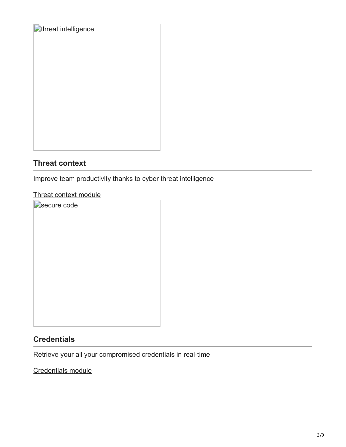| <b>C</b> threat intelligence |
|------------------------------|
|                              |
|                              |
|                              |
|                              |
|                              |
|                              |
|                              |
|                              |
|                              |
|                              |
|                              |
|                              |
|                              |
|                              |
|                              |

### **Threat context**

Improve team productivity thanks to cyber threat intelligence

#### [Threat context module](https://www.blueliv.com/products/cyber-threat-intelligence/threat-context)

Secure code

# **Credentials**

Retrieve your all your compromised credentials in real-time

[Credentials module](https://www.blueliv.com/products/cyber-threat-intelligence/credential-threat-protection)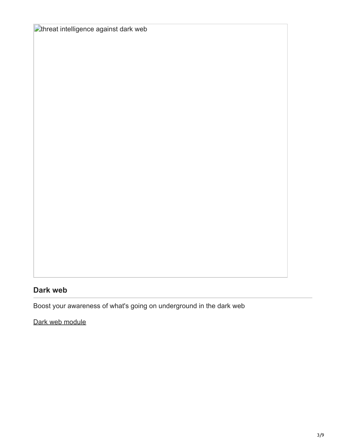**Ethreat intelligence against dark web** 

# **Dark web**

Boost your awareness of what's going on underground in the dark web

[Dark web module](https://www.blueliv.com/products/cyber-threat-intelligence/dark-web)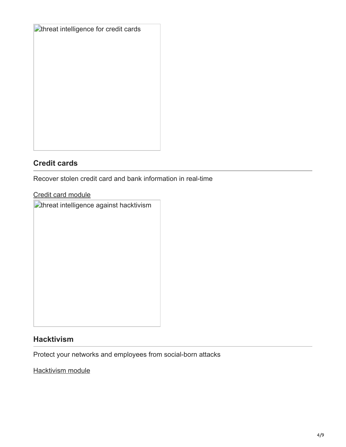| <b>C</b> threat intelligence for credit cards |
|-----------------------------------------------|
|                                               |
|                                               |
|                                               |
|                                               |
|                                               |
|                                               |
|                                               |
|                                               |
|                                               |
|                                               |
|                                               |

### **Credit cards**

Recover stolen credit card and bank information in real-time

#### [Credit card module](https://www.blueliv.com/products/cyber-threat-intelligence/stolen-credit-card-protection)

**C**threat intelligence against hacktivism

#### **Hacktivism**

Protect your networks and employees from social-born attacks

**[Hacktivism module](https://www.blueliv.com/products/cyber-threat-intelligence/hacktivism-monitoring)**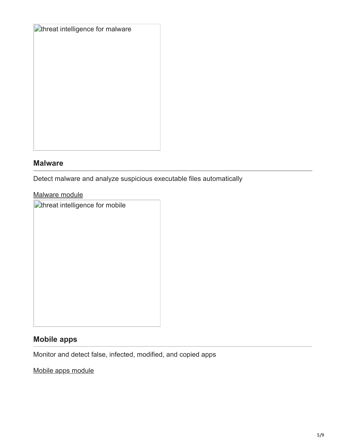| Cthreat intelligence for malware |  |
|----------------------------------|--|
|                                  |  |
|                                  |  |
|                                  |  |
|                                  |  |
|                                  |  |
|                                  |  |
|                                  |  |
|                                  |  |
|                                  |  |
|                                  |  |

#### **Malware**

Detect malware and analyze suspicious executable files automatically

#### [Malware module](https://www.blueliv.com/products/cyber-threat-intelligence/malware-protection)

**Ethreat intelligence for mobile** 

# **Mobile apps**

Monitor and detect false, infected, modified, and copied apps

[Mobile apps module](https://www.blueliv.com/products/cyber-threat-intelligence/mobile-apps-protection)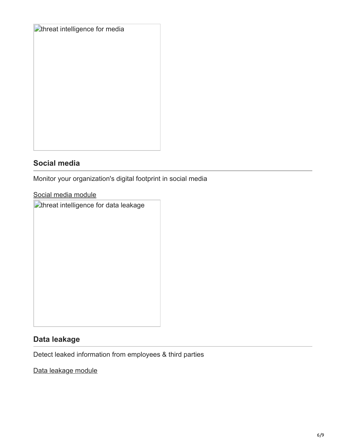| <b>C</b> threat intelligence for media |  |
|----------------------------------------|--|
|                                        |  |
|                                        |  |
|                                        |  |
|                                        |  |
|                                        |  |
|                                        |  |
|                                        |  |
|                                        |  |
|                                        |  |

### **Social media**

Monitor your organization's digital footprint in social media

[Social media module](https://www.blueliv.com/products/cyber-threat-intelligence/social-media-monitoring)

**T**threat intelligence for data leakage

### **Data leakage**

Detect leaked information from employees & third parties

[Data leakage module](https://www.blueliv.com/products/cyber-threat-intelligence/data-leakage-prevention)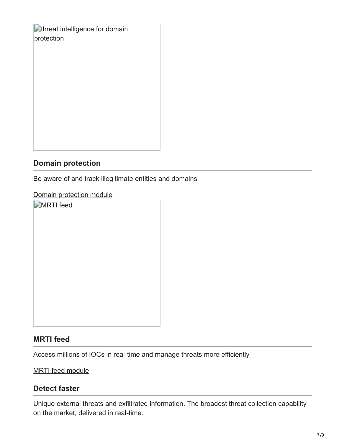**C**threat intelligence for domain protection

#### **Domain protection**

Be aware of and track illegitimate entities and domains

### [Domain protection module](https://www.blueliv.com/products/cyber-threat-intelligence/domain-protection)

**MRTI** feed

### **MRTI feed**

Access millions of IOCs in real-time and manage threats more efficiently

[MRTI feed module](https://www.blueliv.com/products/threat-intelligence/machine-readable-threat-intelligence)

#### **Detect faster**

Unique external threats and exfiltrated information. The broadest threat collection capability on the market, delivered in real-time.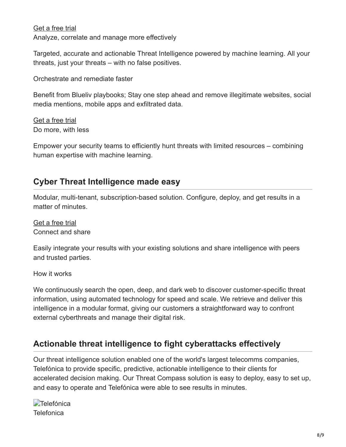[Get a free trial](https://trial.blueliv.com/signup) Analyze, correlate and manage more effectively

Targeted, accurate and actionable Threat Intelligence powered by machine learning. All your threats, just your threats – with no false positives.

Orchestrate and remediate faster

Benefit from Blueliv playbooks; Stay one step ahead and remove illegitimate websites, social media mentions, mobile apps and exfiltrated data.

[Get a free trial](https://trial.blueliv.com/signup) Do more, with less

Empower your security teams to efficiently hunt threats with limited resources – combining human expertise with machine learning.

# **Cyber Threat Intelligence made easy**

Modular, multi-tenant, subscription-based solution. Configure, deploy, and get results in a matter of minutes.

[Get a free trial](https://trial.blueliv.com/signup) Connect and share

Easily integrate your results with your existing solutions and share intelligence with peers and trusted parties.

How it works

We continuously search the open, deep, and dark web to discover customer-specific threat information, using automated technology for speed and scale. We retrieve and deliver this intelligence in a modular format, giving our customers a straightforward way to confront external cyberthreats and manage their digital risk.

# **Actionable threat intelligence to fight cyberattacks effectively**

Our threat intelligence solution enabled one of the world's largest telecomms companies, Telefónica to provide specific, predictive, actionable intelligence to their clients for accelerated decision making. Our Threat Compass solution is easy to deploy, easy to set up, and easy to operate and Telefónica were able to see results in minutes.

**Telefónica Telefonica**